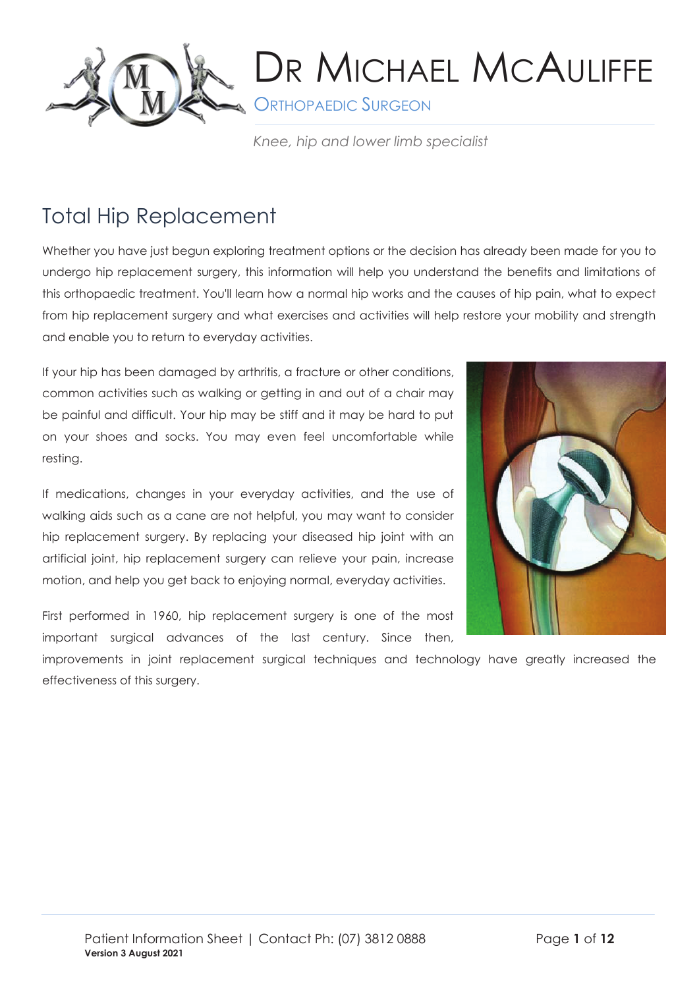

**S** ORTHOPAEDIC SURGEON

*Knee, hip and lower limb specialist*

## Total Hip Replacement

Whether you have just begun exploring treatment options or the decision has already been made for you to undergo hip replacement surgery, this information will help you understand the benefits and limitations of this orthopaedic treatment. You'll learn how a normal hip works and the causes of hip pain, what to expect from hip replacement surgery and what exercises and activities will help restore your mobility and strength and enable you to return to everyday activities.

If your hip has been damaged by arthritis, a fracture or other conditions, common activities such as walking or getting in and out of a chair may be painful and difficult. Your hip may be stiff and it may be hard to put on your shoes and socks. You may even feel uncomfortable while resting.

If medications, changes in your everyday activities, and the use of walking aids such as a cane are not helpful, you may want to consider hip replacement surgery. By replacing your diseased hip joint with an artificial joint, hip replacement surgery can relieve your pain, increase motion, and help you get back to enjoying normal, everyday activities.

First performed in 1960, hip replacement surgery is one of the most important surgical advances of the last century. Since then,



improvements in joint replacement surgical techniques and technology have greatly increased the effectiveness of this surgery.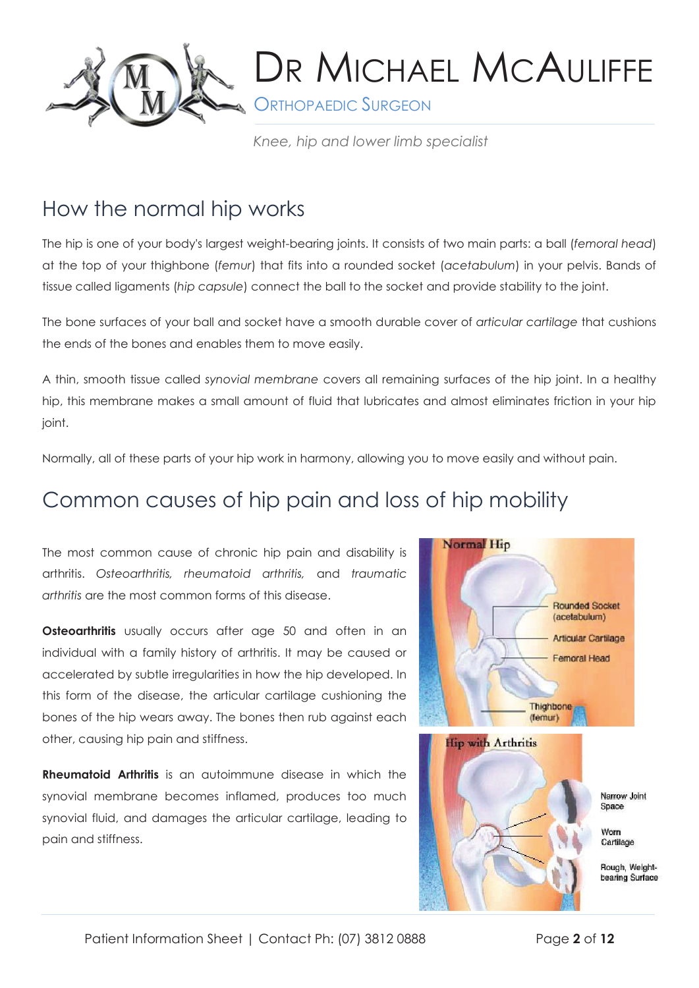

**S** ORTHOPAEDIC SURGEON

*Knee, hip and lower limb specialist*

### How the normal hip works

The hip is one of your body's largest weight-bearing joints. It consists of two main parts: a ball (*femoral head*) at the top of your thighbone (*femur*) that fits into a rounded socket (*acetabulum*) in your pelvis. Bands of tissue called ligaments (*hip capsule*) connect the ball to the socket and provide stability to the joint.

The bone surfaces of your ball and socket have a smooth durable cover of *articular cartilage* that cushions the ends of the bones and enables them to move easily.

A thin, smooth tissue called *synovial membrane* covers all remaining surfaces of the hip joint. In a healthy hip, this membrane makes a small amount of fluid that lubricates and almost eliminates friction in your hip joint.

Normally, all of these parts of your hip work in harmony, allowing you to move easily and without pain.

### Common causes of hip pain and loss of hip mobility

The most common cause of chronic hip pain and disability is arthritis. *Osteoarthritis, rheumatoid arthritis,* and *traumatic arthritis* are the most common forms of this disease.

**Osteoarthritis** usually occurs after age 50 and often in an individual with a family history of arthritis. It may be caused or accelerated by subtle irregularities in how the hip developed. In this form of the disease, the articular cartilage cushioning the bones of the hip wears away. The bones then rub against each other, causing hip pain and stiffness.

**Rheumatoid Arthritis** is an autoimmune disease in which the synovial membrane becomes inflamed, produces too much synovial fluid, and damages the articular cartilage, leading to pain and stiffness.

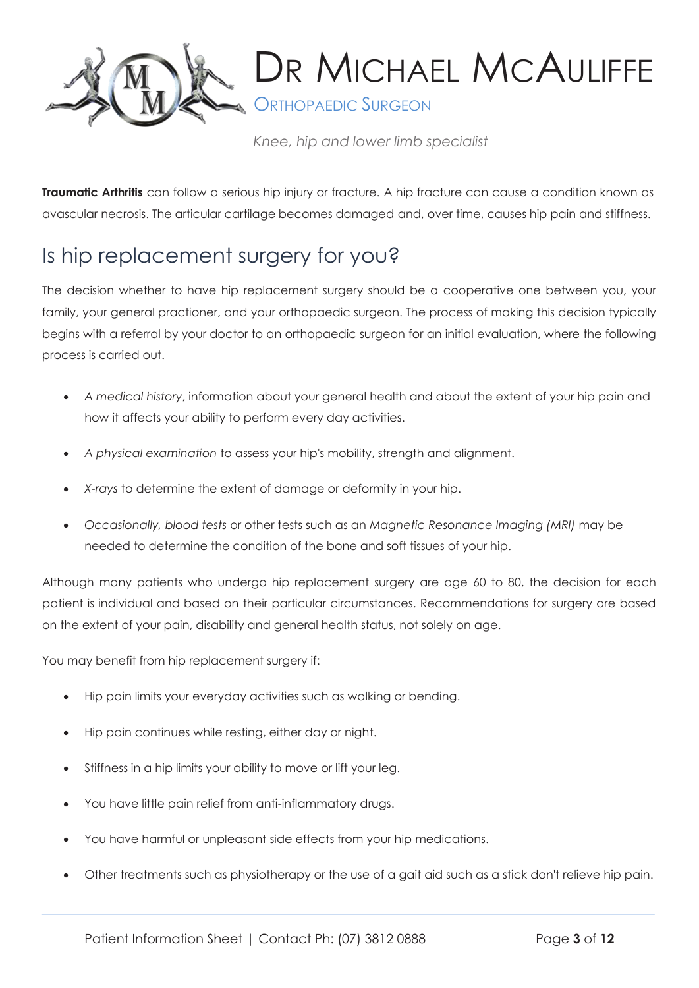

**S** ORTHOPAEDIC SURGEON

*Knee, hip and lower limb specialist*

**Traumatic Arthritis** can follow a serious hip injury or fracture. A hip fracture can cause a condition known as avascular necrosis. The articular cartilage becomes damaged and, over time, causes hip pain and stiffness.

## Is hip replacement surgery for you?

The decision whether to have hip replacement surgery should be a cooperative one between you, your family, your general practioner, and your orthopaedic surgeon. The process of making this decision typically begins with a referral by your doctor to an orthopaedic surgeon for an initial evaluation, where the following process is carried out.

- *A medical history*, information about your general health and about the extent of your hip pain and how it affects your ability to perform every day activities.
- *A physical examination* to assess your hip's mobility, strength and alignment.
- *X-rays* to determine the extent of damage or deformity in your hip.
- *Occasionally, blood tests* or other tests such as an *Magnetic Resonance Imaging (MRI)* may be needed to determine the condition of the bone and soft tissues of your hip.

Although many patients who undergo hip replacement surgery are age 60 to 80, the decision for each patient is individual and based on their particular circumstances. Recommendations for surgery are based on the extent of your pain, disability and general health status, not solely on age.

You may benefit from hip replacement surgery if:

- Hip pain limits your everyday activities such as walking or bending.
- Hip pain continues while resting, either day or night.
- Stiffness in a hip limits your ability to move or lift your leg.
- You have little pain relief from anti-inflammatory drugs.
- You have harmful or unpleasant side effects from your hip medications.
- Other treatments such as physiotherapy or the use of a gait aid such as a stick don't relieve hip pain.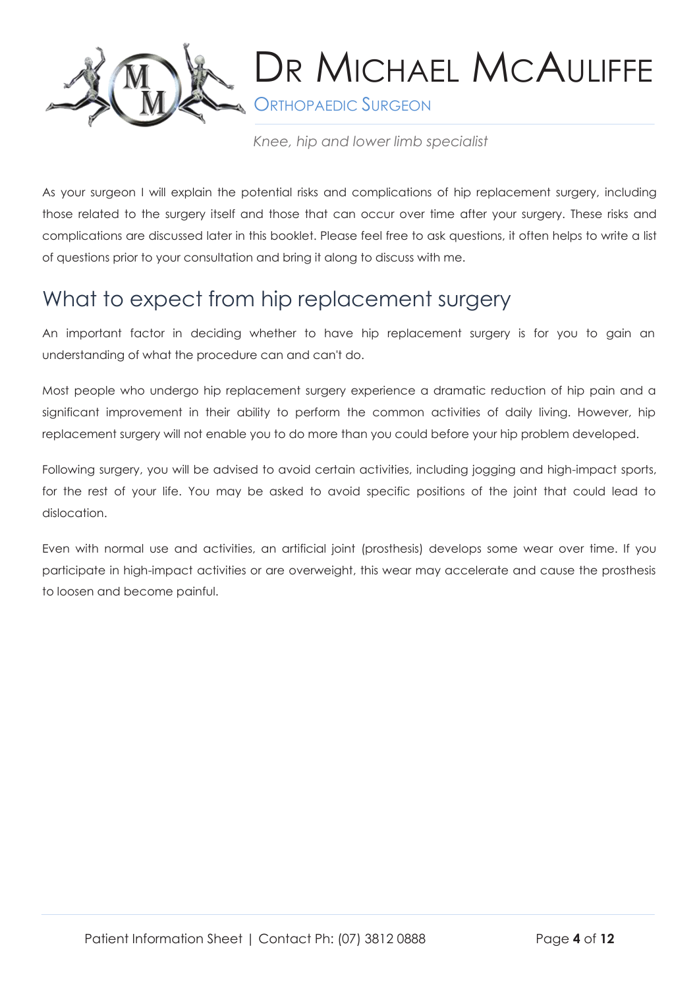

**S** ORTHOPAEDIC SURGEON

*Knee, hip and lower limb specialist*

As your surgeon I will explain the potential risks and complications of hip replacement surgery, including those related to the surgery itself and those that can occur over time after your surgery. These risks and complications are discussed later in this booklet. Please feel free to ask questions, it often helps to write a list of questions prior to your consultation and bring it along to discuss with me.

### What to expect from hip replacement surgery

An important factor in deciding whether to have hip replacement surgery is for you to gain an understanding of what the procedure can and can't do.

Most people who undergo hip replacement surgery experience a dramatic reduction of hip pain and a significant improvement in their ability to perform the common activities of daily living. However, hip replacement surgery will not enable you to do more than you could before your hip problem developed.

Following surgery, you will be advised to avoid certain activities, including jogging and high-impact sports, for the rest of your life. You may be asked to avoid specific positions of the joint that could lead to dislocation.

Even with normal use and activities, an artificial joint (prosthesis) develops some wear over time. If you participate in high-impact activities or are overweight, this wear may accelerate and cause the prosthesis to loosen and become painful.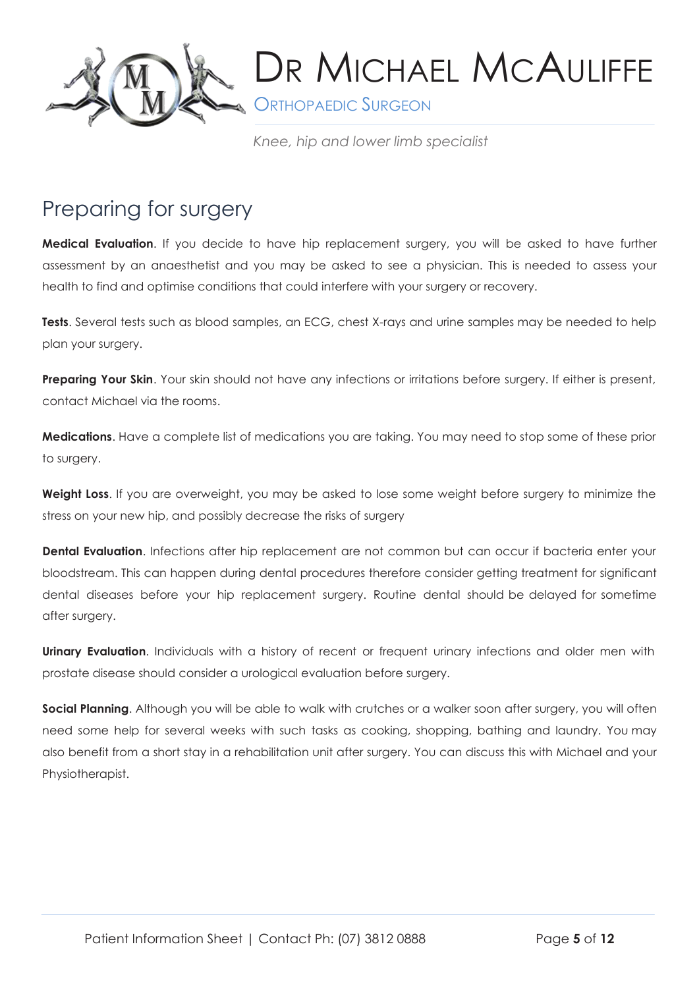

**S** ORTHOPAEDIC SURGEON

*Knee, hip and lower limb specialist*

### Preparing for surgery

**Medical Evaluation**. If you decide to have hip replacement surgery, you will be asked to have further assessment by an anaesthetist and you may be asked to see a physician. This is needed to assess your health to find and optimise conditions that could interfere with your surgery or recovery.

Tests. Several tests such as blood samples, an ECG, chest X-rays and urine samples may be needed to help plan your surgery.

**Preparing Your Skin.** Your skin should not have any infections or irritations before surgery. If either is present, contact Michael via the rooms.

**Medications**. Have a complete list of medications you are taking. You may need to stop some of these prior to surgery.

**Weight Loss**. If you are overweight, you may be asked to lose some weight before surgery to minimize the stress on your new hip, and possibly decrease the risks of surgery

**Dental Evaluation**. Infections after hip replacement are not common but can occur if bacteria enter your bloodstream. This can happen during dental procedures therefore consider getting treatment for significant dental diseases before your hip replacement surgery. Routine dental should be delayed for sometime after surgery.

**Urinary Evaluation**. Individuals with a history of recent or frequent urinary infections and older men with prostate disease should consider a urological evaluation before surgery.

**Social Planning**. Although you will be able to walk with crutches or a walker soon after surgery, you will often need some help for several weeks with such tasks as cooking, shopping, bathing and laundry. You may also benefit from a short stay in a rehabilitation unit after surgery. You can discuss this with Michael and your Physiotherapist.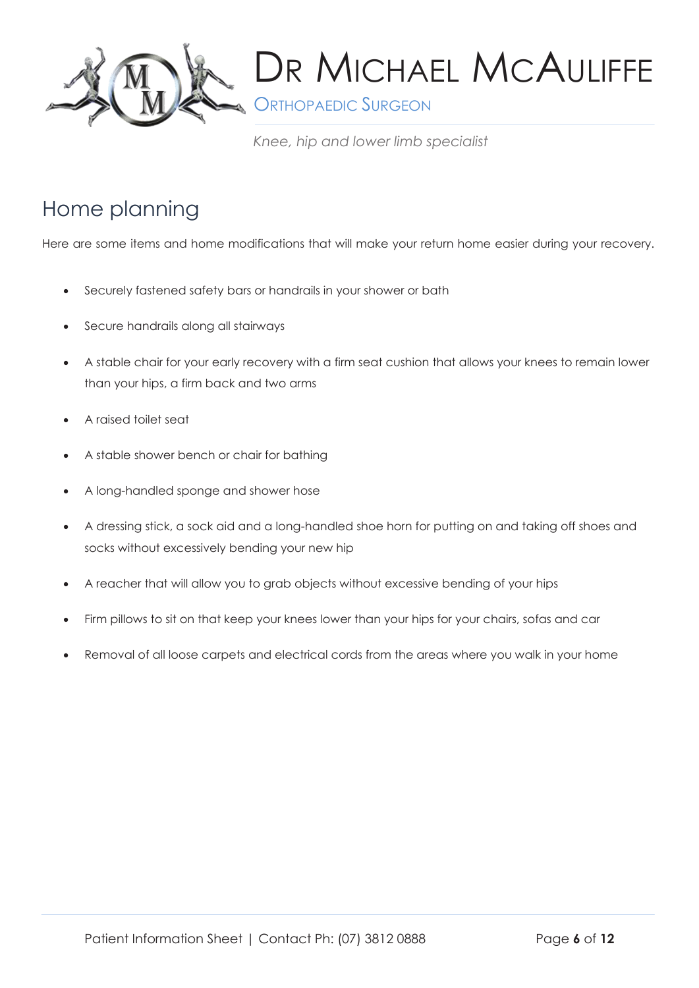

**S** ORTHOPAEDIC SURGEON

*Knee, hip and lower limb specialist*

## Home planning

Here are some items and home modifications that will make your return home easier during your recovery.

- Securely fastened safety bars or handrails in your shower or bath
- Secure handrails along all stairways
- A stable chair for your early recovery with a firm seat cushion that allows your knees to remain lower than your hips, a firm back and two arms
- A raised toilet seat
- A stable shower bench or chair for bathing
- A long-handled sponge and shower hose
- A dressing stick, a sock aid and a long-handled shoe horn for putting on and taking off shoes and socks without excessively bending your new hip
- A reacher that will allow you to grab objects without excessive bending of your hips
- Firm pillows to sit on that keep your knees lower than your hips for your chairs, sofas and car
- Removal of all loose carpets and electrical cords from the areas where you walk in your home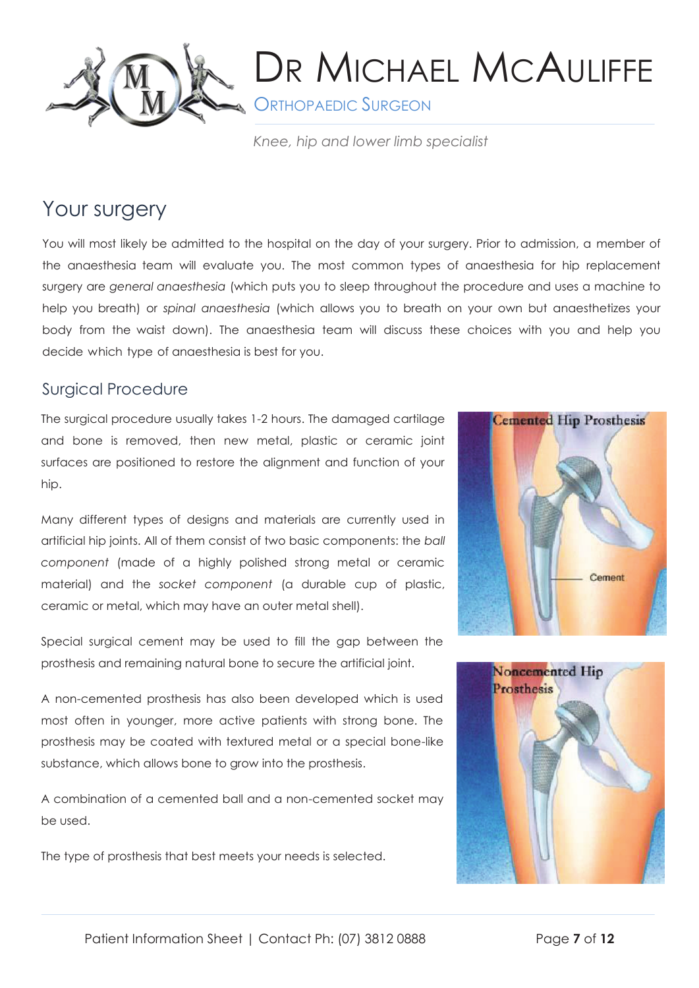

**S** ORTHOPAEDIC SURGEON

*Knee, hip and lower limb specialist*

### Your surgery

You will most likely be admitted to the hospital on the day of your surgery. Prior to admission, a member of the anaesthesia team will evaluate you. The most common types of anaesthesia for hip replacement surgery are *general anaesthesia* (which puts you to sleep throughout the procedure and uses a machine to help you breath) or *spinal anaesthesia* (which allows you to breath on your own but anaesthetizes your body from the waist down). The anaesthesia team will discuss these choices with you and help you decide which type of anaesthesia is best for you.

### Surgical Procedure

The surgical procedure usually takes 1-2 hours. The damaged cartilage and bone is removed, then new metal, plastic or ceramic joint surfaces are positioned to restore the alignment and function of your hip.

Many different types of designs and materials are currently used in artificial hip joints. All of them consist of two basic components: the *ball component* (made of a highly polished strong metal or ceramic material) and the *socket component* (a durable cup of plastic, ceramic or metal, which may have an outer metal shell).

Special surgical cement may be used to fill the gap between the prosthesis and remaining natural bone to secure the artificial joint.

A non-cemented prosthesis has also been developed which is used most often in younger, more active patients with strong bone. The prosthesis may be coated with textured metal or a special bone-like substance, which allows bone to grow into the prosthesis.

A combination of a cemented ball and a non-cemented socket may be used.

The type of prosthesis that best meets your needs is selected.



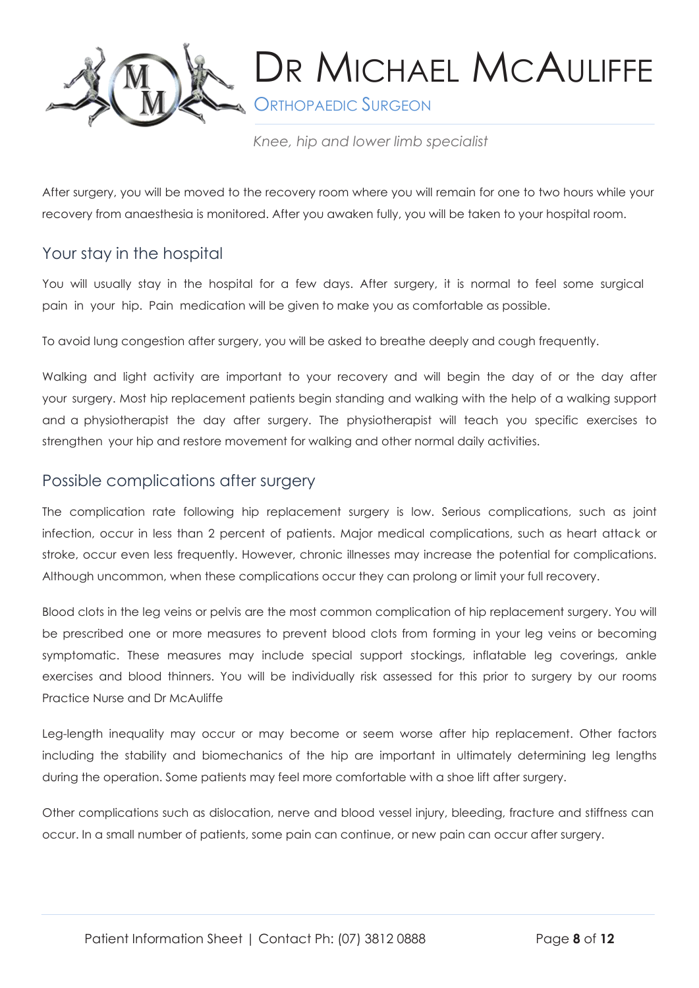

**SAU ORTHOPAEDIC SURGEON** 

*Knee, hip and lower limb specialist*

After surgery, you will be moved to the recovery room where you will remain for one to two hours while your recovery from anaesthesia is monitored. After you awaken fully, you will be taken to your hospital room.

### Your stay in the hospital

You will usually stay in the hospital for a few days. After surgery, it is normal to feel some surgical pain in your hip. Pain medication will be given to make you as comfortable as possible.

To avoid lung congestion after surgery, you will be asked to breathe deeply and cough frequently.

Walking and light activity are important to your recovery and will begin the day of or the day after your surgery. Most hip replacement patients begin standing and walking with the help of a walking support and a physiotherapist the day after surgery. The physiotherapist will teach you specific exercises to strengthen your hip and restore movement for walking and other normal daily activities.

#### Possible complications after surgery

The complication rate following hip replacement surgery is low. Serious complications, such as joint infection, occur in less than 2 percent of patients. Major medical complications, such as heart attack or stroke, occur even less frequently. However, chronic illnesses may increase the potential for complications. Although uncommon, when these complications occur they can prolong or limit your full recovery.

Blood clots in the leg veins or pelvis are the most common complication of hip replacement surgery. You will be prescribed one or more measures to prevent blood clots from forming in your leg veins or becoming symptomatic. These measures may include special support stockings, inflatable leg coverings, ankle exercises and blood thinners. You will be individually risk assessed for this prior to surgery by our rooms Practice Nurse and Dr McAuliffe

Leg-length inequality may occur or may become or seem worse after hip replacement. Other factors including the stability and biomechanics of the hip are important in ultimately determining leg lengths during the operation. Some patients may feel more comfortable with a shoe lift after surgery.

Other complications such as dislocation, nerve and blood vessel injury, bleeding, fracture and stiffness can occur. In a small number of patients, some pain can continue, or new pain can occur after surgery.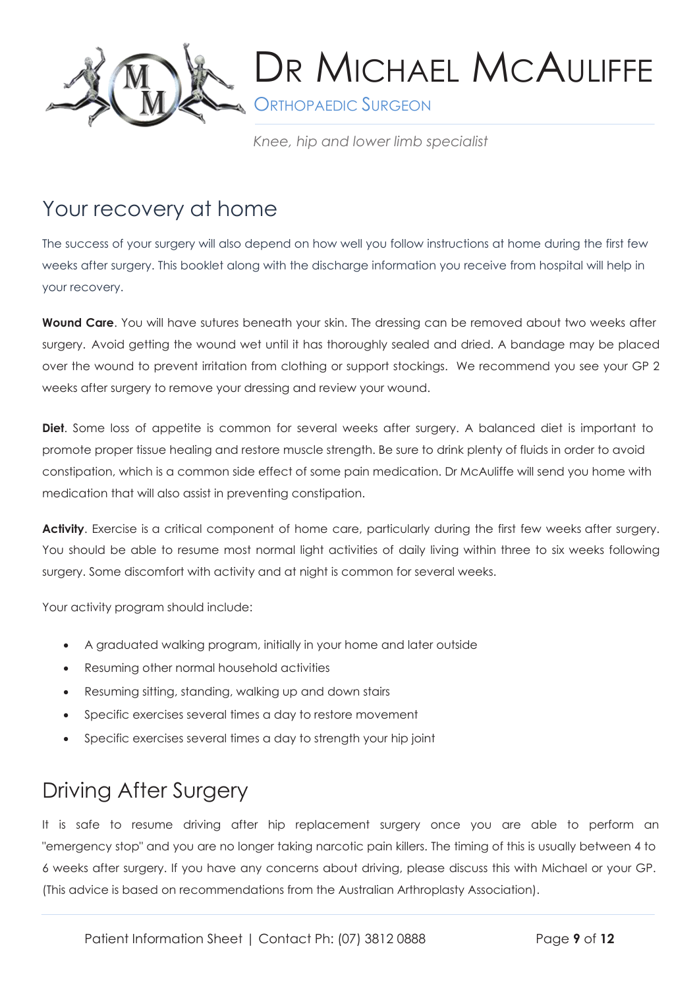

**SURGEON** 

*Knee, hip and lower limb specialist*

### Your recovery at home

The success of your surgery will also depend on how well you follow instructions at home during the first few weeks after surgery. This booklet along with the discharge information you receive from hospital will help in your recovery.

**Wound Care**. You will have sutures beneath your skin. The dressing can be removed about two weeks after surgery. Avoid getting the wound wet until it has thoroughly sealed and dried. A bandage may be placed over the wound to prevent irritation from clothing or support stockings. We recommend you see your GP 2 weeks after surgery to remove your dressing and review your wound.

**Diet**. Some loss of appetite is common for several weeks after surgery. A balanced diet is important to promote proper tissue healing and restore muscle strength. Be sure to drink plenty of fluids in order to avoid constipation, which is a common side effect of some pain medication. Dr McAuliffe will send you home with medication that will also assist in preventing constipation.

**Activity**. Exercise is a critical component of home care, particularly during the first few weeks after surgery. You should be able to resume most normal light activities of daily living within three to six weeks following surgery. Some discomfort with activity and at night is common for several weeks.

Your activity program should include:

- A graduated walking program, initially in your home and later outside
- Resuming other normal household activities
- Resuming sitting, standing, walking up and down stairs
- Specific exercises several times a day to restore movement
- Specific exercises several times a day to strength your hip joint

## Driving After Surgery

It is safe to resume driving after hip replacement surgery once you are able to perform an "emergency stop" and you are no longer taking narcotic pain killers. The timing of this is usually between 4 to 6 weeks after surgery. If you have any concerns about driving, please discuss this with Michael or your GP. (This advice is based on recommendations from the Australian Arthroplasty Association).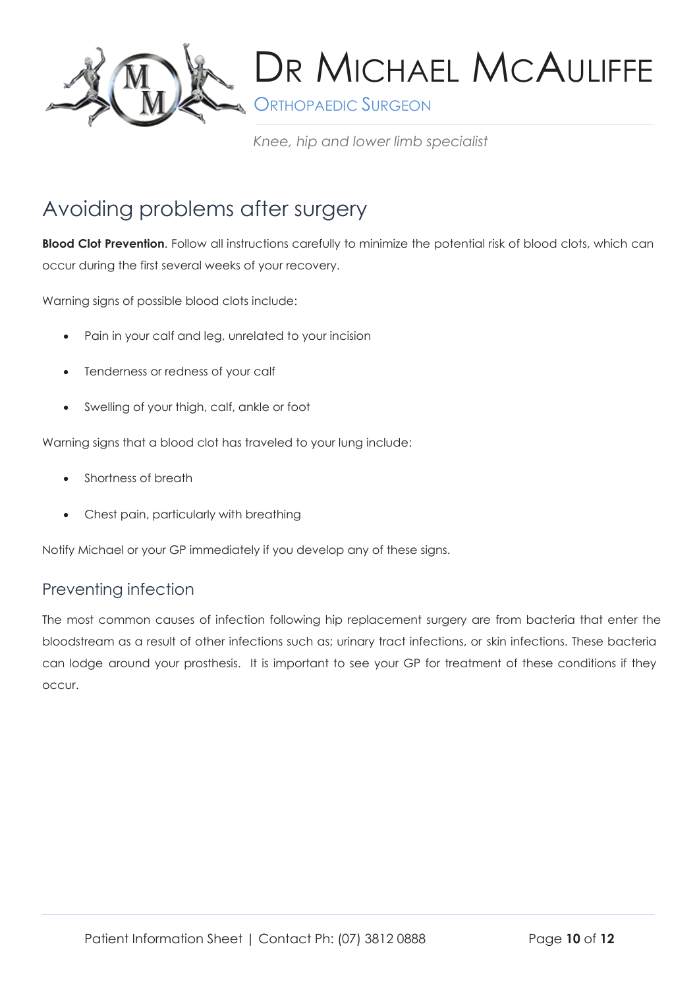

**S** ORTHOPAEDIC SURGEON

*Knee, hip and lower limb specialist*

### Avoiding problems after surgery

**Blood Clot Prevention**. Follow all instructions carefully to minimize the potential risk of blood clots, which can occur during the first several weeks of your recovery.

Warning signs of possible blood clots include:

- Pain in your calf and leg, unrelated to your incision
- Tenderness or redness of your calf
- Swelling of your thigh, calf, ankle or foot

Warning signs that a blood clot has traveled to your lung include:

- Shortness of breath
- Chest pain, particularly with breathing

Notify Michael or your GP immediately if you develop any of these signs.

### Preventing infection

The most common causes of infection following hip replacement surgery are from bacteria that enter the bloodstream as a result of other infections such as; urinary tract infections, or skin infections. These bacteria can lodge around your prosthesis. It is important to see your GP for treatment of these conditions if they occur.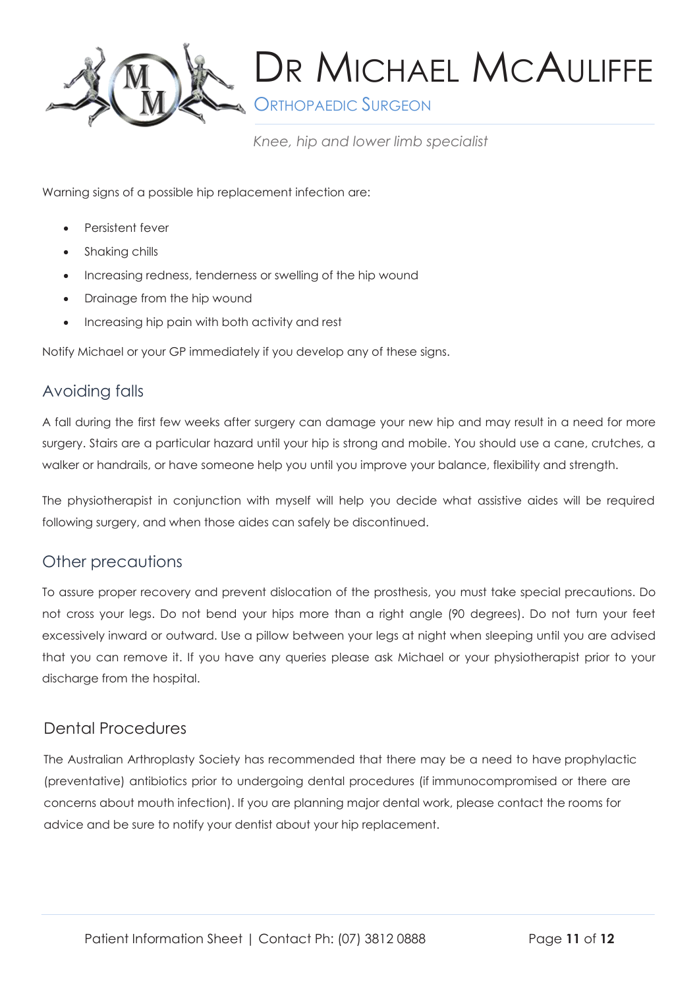

**S** ORTHOPAEDIC SURGEON

*Knee, hip and lower limb specialist*

Warning signs of a possible hip replacement infection are:

- Persistent fever
- Shaking chills
- Increasing redness, tenderness or swelling of the hip wound
- Drainage from the hip wound
- Increasing hip pain with both activity and rest

Notify Michael or your GP immediately if you develop any of these signs.

### Avoiding falls

A fall during the first few weeks after surgery can damage your new hip and may result in a need for more surgery. Stairs are a particular hazard until your hip is strong and mobile. You should use a cane, crutches, a walker or handrails, or have someone help you until you improve your balance, flexibility and strength.

The physiotherapist in conjunction with myself will help you decide what assistive aides will be required following surgery, and when those aides can safely be discontinued.

#### Other precautions

To assure proper recovery and prevent dislocation of the prosthesis, you must take special precautions. Do not cross your legs. Do not bend your hips more than a right angle (90 degrees). Do not turn your feet excessively inward or outward. Use a pillow between your legs at night when sleeping until you are advised that you can remove it. If you have any queries please ask Michael or your physiotherapist prior to your discharge from the hospital.

#### Dental Procedures

The Australian Arthroplasty Society has recommended that there may be a need to have prophylactic (preventative) antibiotics prior to undergoing dental procedures (if immunocompromised or there are concerns about mouth infection). If you are planning major dental work, please contact the rooms for advice and be sure to notify your dentist about your hip replacement.